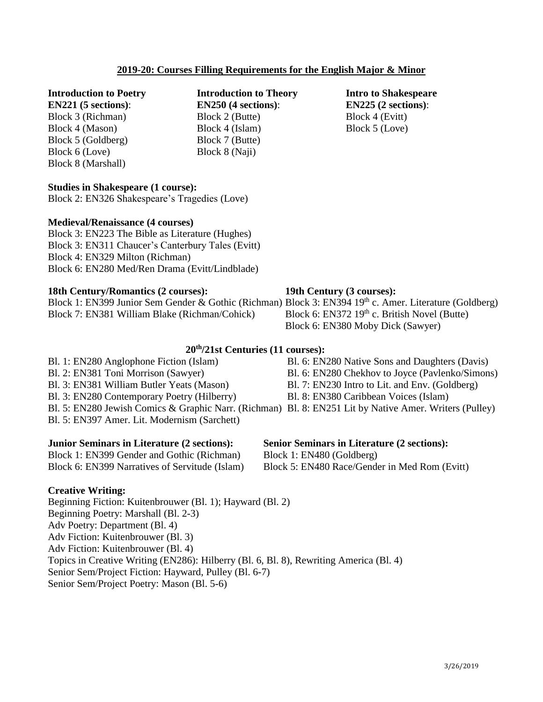# **2019-20: Courses Filling Requirements for the English Major & Minor**

# **Introduction to Poetry**

**EN221 (5 sections)**: Block 3 (Richman) Block 4 (Mason) Block 5 (Goldberg) Block 6 (Love) Block 8 (Marshall)

**Introduction to Theory EN250 (4 sections)**: Block 2 (Butte) Block 4 (Islam) Block 7 (Butte) Block 8 (Naji)

**Intro to Shakespeare EN225 (2 sections)**: Block 4 (Evitt) Block 5 (Love)

### **Studies in Shakespeare (1 course):**

Block 2: EN326 Shakespeare's Tragedies (Love)

### **Medieval/Renaissance (4 courses)**

Block 3: EN223 The Bible as Literature (Hughes) Block 3: EN311 Chaucer's Canterbury Tales (Evitt) Block 4: EN329 Milton (Richman) Block 6: EN280 Med/Ren Drama (Evitt/Lindblade)

### **18th Century/Romantics (2 courses):**

|                                               | Block 1: EN399 Junior Sem Gender & Gothic (Richman) Block 3: EN394 19 <sup>th</sup> c. Amer. Literature (Goldberg) |                                                |  |  |
|-----------------------------------------------|--------------------------------------------------------------------------------------------------------------------|------------------------------------------------|--|--|
| Block 7: EN381 William Blake (Richman/Cohick) |                                                                                                                    | Block 6: EN372 $19th$ c. British Novel (Butte) |  |  |
|                                               |                                                                                                                    | Block 6: EN380 Moby Dick (Sawyer)              |  |  |

# **20 th/21st Centuries (11 courses):**

Bl. 1: EN280 Anglophone Fiction (Islam) Bl. 2: EN381 Toni Morrison (Sawyer) Bl. 3: EN381 William Butler Yeats (Mason) Bl. 3: EN280 Contemporary Poetry (Hilberry) Bl. 5: EN397 Amer. Lit. Modernism (Sarchett)

### **Junior Seminars in Literature (2 sections):**

Block 1: EN399 Gender and Gothic (Richman) Block 6: EN399 Narratives of Servitude (Islam)

**19th Century (3 courses):**

- Bl. 6: EN280 Native Sons and Daughters (Davis)
- Bl. 6: EN280 Chekhov to Joyce (Pavlenko/Simons)
- Bl. 7: EN230 Intro to Lit. and Env. (Goldberg)
- Bl. 8: EN380 Caribbean Voices (Islam)
- Bl. 5: EN280 Jewish Comics & Graphic Narr. (Richman) Bl. 8: EN251 Lit by Native Amer. Writers (Pulley)

### **Senior Seminars in Literature (2 sections):**

Block 1: EN480 (Goldberg)

Block 5: EN480 Race/Gender in Med Rom (Evitt)

### **Creative Writing:**

Beginning Fiction: Kuitenbrouwer (Bl. 1); Hayward (Bl. 2) Beginning Poetry: Marshall (Bl. 2-3) Adv Poetry: Department (Bl. 4) Adv Fiction: Kuitenbrouwer (Bl. 3) Adv Fiction: Kuitenbrouwer (Bl. 4) Topics in Creative Writing (EN286): Hilberry (Bl. 6, Bl. 8), Rewriting America (Bl. 4) Senior Sem/Project Fiction: Hayward, Pulley (Bl. 6-7) Senior Sem/Project Poetry: Mason (Bl. 5-6)